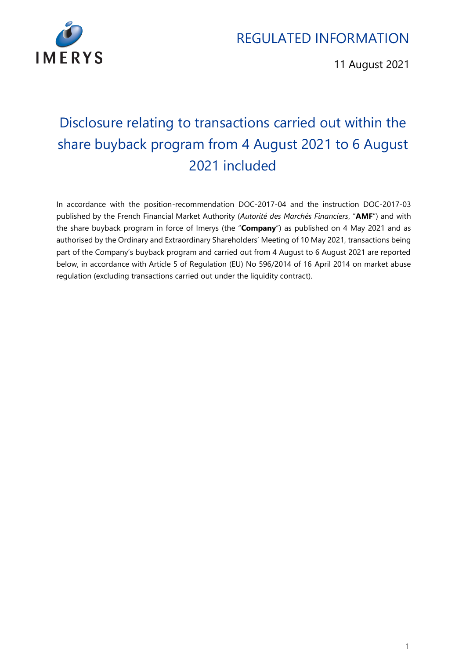

11 August 2021

# Disclosure relating to transactions carried out within the share buyback program from 4 August 2021 to 6 August 2021 included

In accordance with the position-recommendation DOC-2017-04 and the instruction DOC-2017-03 published by the French Financial Market Authority (*Autorité des Marchés Financiers*, "**AMF**") and with the share buyback program in force of Imerys (the "**Company**") as published on 4 May 2021 and as authorised by the Ordinary and Extraordinary Shareholders' Meeting of 10 May 2021, transactions being part of the Company's buyback program and carried out from 4 August to 6 August 2021 are reported below, in accordance with Article 5 of Regulation (EU) No 596/2014 of 16 April 2014 on market abuse regulation (excluding transactions carried out under the liquidity contract).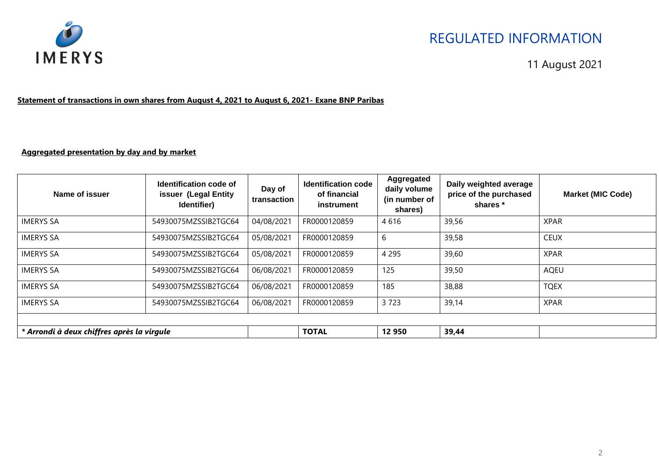

#### 11 August 2021

#### **Statement of transactions in own shares from August 4, 2021 to August 6, 2021- Exane BNP Paribas**

#### **Aggregated presentation by day and by market**

| Name of issuer                             | Identification code of<br>issuer (Legal Entity<br>Identifier) | Day of<br>transaction | <b>Identification code</b><br>of financial<br>instrument | Aggregated<br>daily volume<br>(in number of<br>shares) | Daily weighted average<br>price of the purchased<br>shares * | <b>Market (MIC Code)</b> |
|--------------------------------------------|---------------------------------------------------------------|-----------------------|----------------------------------------------------------|--------------------------------------------------------|--------------------------------------------------------------|--------------------------|
| <b>IMERYS SA</b>                           | 54930075MZSSIB2TGC64                                          | 04/08/2021            | FR0000120859                                             | 4616                                                   | 39,56                                                        | <b>XPAR</b>              |
| <b>IMERYS SA</b>                           | 54930075MZSSIB2TGC64                                          | 05/08/2021            | FR0000120859                                             | 6                                                      | 39,58                                                        | <b>CEUX</b>              |
| <b>IMERYS SA</b>                           | 54930075MZSSIB2TGC64                                          | 05/08/2021            | FR0000120859                                             | 4 2 9 5                                                | 39,60                                                        | <b>XPAR</b>              |
| <b>IMERYS SA</b>                           | 54930075MZSSIB2TGC64                                          | 06/08/2021            | FR0000120859                                             | 125                                                    | 39,50                                                        | AQEU                     |
| <b>IMERYS SA</b>                           | 54930075MZSSIB2TGC64                                          | 06/08/2021            | FR0000120859                                             | 185                                                    | 38,88                                                        | <b>TQEX</b>              |
| <b>IMERYS SA</b>                           | 54930075MZSSIB2TGC64                                          | 06/08/2021            | FR0000120859                                             | 3723                                                   | 39,14                                                        | <b>XPAR</b>              |
|                                            |                                                               |                       |                                                          |                                                        |                                                              |                          |
| * Arrondi à deux chiffres après la virgule |                                                               |                       | <b>TOTAL</b>                                             | 12 950                                                 | 39,44                                                        |                          |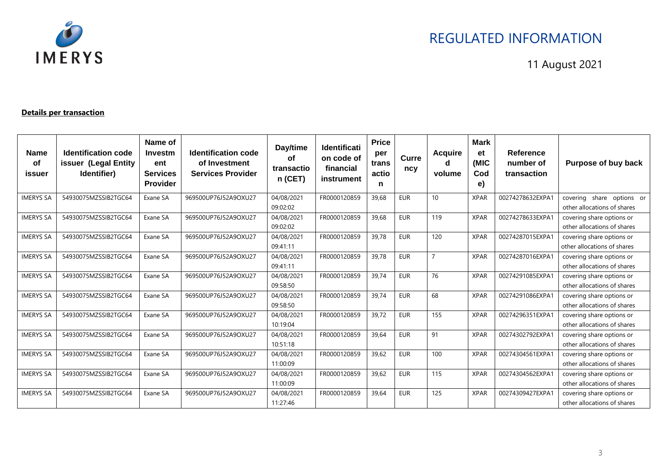

11 August 2021

#### **Details per transaction**

| <b>Name</b><br>οf<br>issuer | <b>Identification code</b><br>issuer (Legal Entity<br>Identifier) | Name of<br>Investm<br>ent<br><b>Services</b><br><b>Provider</b> | <b>Identification code</b><br>of Investment<br><b>Services Provider</b> | Day/time<br><b>of</b><br>transactio<br>$n$ (CET) | <b>Identificati</b><br>on code of<br>financial<br><b>instrument</b> | <b>Price</b><br>per<br>trans<br>actio<br>n | Curre<br>ncy | <b>Acquire</b><br>d<br>volume | <b>Mark</b><br>et<br>(MIC<br>Cod<br>e) | Reference<br>number of<br>transaction | Purpose of buy back                                      |
|-----------------------------|-------------------------------------------------------------------|-----------------------------------------------------------------|-------------------------------------------------------------------------|--------------------------------------------------|---------------------------------------------------------------------|--------------------------------------------|--------------|-------------------------------|----------------------------------------|---------------------------------------|----------------------------------------------------------|
| <b>IMERYS SA</b>            | 54930075MZSSIB2TGC64                                              | Exane SA                                                        | 969500UP76J52A9OXU27                                                    | 04/08/2021<br>09:02:02                           | FR0000120859                                                        | 39.68                                      | <b>EUR</b>   | 10                            | <b>XPAR</b>                            | 00274278632EXPA1                      | covering share options or<br>other allocations of shares |
| <b>IMERYS SA</b>            | 54930075MZSSIB2TGC64                                              | Exane SA                                                        | 969500UP76J52A9OXU27                                                    | 04/08/2021<br>09:02:02                           | FR0000120859                                                        | 39.68                                      | <b>EUR</b>   | 119                           | <b>XPAR</b>                            | 00274278633EXPA1                      | covering share options or<br>other allocations of shares |
| <b>IMERYS SA</b>            | 54930075MZSSIB2TGC64                                              | Exane SA                                                        | 969500UP76J52A9OXU27                                                    | 04/08/2021<br>09:41:11                           | FR0000120859                                                        | 39,78                                      | <b>EUR</b>   | 120                           | <b>XPAR</b>                            | 00274287015EXPA1                      | covering share options or<br>other allocations of shares |
| <b>IMERYS SA</b>            | 54930075MZSSIB2TGC64                                              | Exane SA                                                        | 969500UP76J52A9OXU27                                                    | 04/08/2021<br>09:41:11                           | FR0000120859                                                        | 39,78                                      | <b>EUR</b>   | $\overline{ }$                | <b>XPAR</b>                            | 00274287016EXPA1                      | covering share options or<br>other allocations of shares |
| <b>IMERYS SA</b>            | 54930075MZSSIB2TGC64                                              | Exane SA                                                        | 969500UP76J52A9OXU27                                                    | 04/08/2021<br>09:58:50                           | FR0000120859                                                        | 39,74                                      | <b>EUR</b>   | 76                            | <b>XPAR</b>                            | 00274291085EXPA1                      | covering share options or<br>other allocations of shares |
| <b>IMERYS SA</b>            | 54930075MZSSIB2TGC64                                              | Exane SA                                                        | 969500UP76J52A9OXU27                                                    | 04/08/2021<br>09:58:50                           | FR0000120859                                                        | 39.74                                      | <b>EUR</b>   | 68                            | <b>XPAR</b>                            | 00274291086EXPA1                      | covering share options or<br>other allocations of shares |
| <b>IMERYS SA</b>            | 54930075MZSSIB2TGC64                                              | Exane SA                                                        | 969500UP76J52A9OXU27                                                    | 04/08/2021<br>10:19:04                           | FR0000120859                                                        | 39.72                                      | <b>EUR</b>   | 155                           | <b>XPAR</b>                            | 00274296351EXPA1                      | covering share options or<br>other allocations of shares |
| <b>IMERYS SA</b>            | 54930075MZSSIB2TGC64                                              | Exane SA                                                        | 969500UP76J52A9OXU27                                                    | 04/08/2021<br>10:51:18                           | FR0000120859                                                        | 39.64                                      | <b>EUR</b>   | 91                            | <b>XPAR</b>                            | 00274302792EXPA1                      | covering share options or<br>other allocations of shares |
| <b>IMERYS SA</b>            | 54930075MZSSIB2TGC64                                              | Exane SA                                                        | 969500UP76J52A9OXU27                                                    | 04/08/2021<br>11:00:09                           | FR0000120859                                                        | 39,62                                      | <b>EUR</b>   | 100                           | <b>XPAR</b>                            | 00274304561EXPA1                      | covering share options or<br>other allocations of shares |
| <b>IMERYS SA</b>            | 54930075MZSSIB2TGC64                                              | Exane SA                                                        | 969500UP76J52A9OXU27                                                    | 04/08/2021<br>11:00:09                           | FR0000120859                                                        | 39,62                                      | <b>EUR</b>   | 115                           | <b>XPAR</b>                            | 00274304562EXPA1                      | covering share options or<br>other allocations of shares |
| <b>IMERYS SA</b>            | 54930075MZSSIB2TGC64                                              | Exane SA                                                        | 969500UP76J52A9OXU27                                                    | 04/08/2021<br>11:27:46                           | FR0000120859                                                        | 39,64                                      | <b>EUR</b>   | 125                           | <b>XPAR</b>                            | 00274309427EXPA1                      | covering share options or<br>other allocations of shares |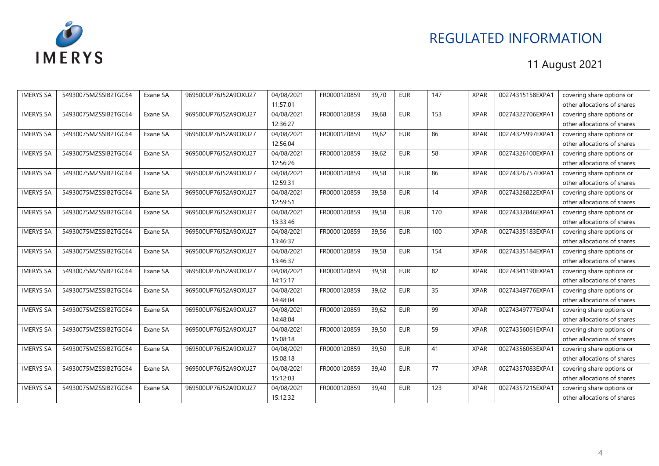

| <b>IMERYS SA</b> | 54930075MZSSIB2TGC64 | Exane SA | 969500UP76J52A9OXU27 | 04/08/2021 | FR0000120859 | 39,70 | <b>EUR</b> | 147 | <b>XPAR</b> | 00274315158EXPA1 | covering share options or   |
|------------------|----------------------|----------|----------------------|------------|--------------|-------|------------|-----|-------------|------------------|-----------------------------|
|                  |                      |          |                      | 11:57:01   |              |       |            |     |             |                  | other allocations of shares |
| <b>IMERYS SA</b> | 54930075MZSSIB2TGC64 | Exane SA | 969500UP76J52A9OXU27 | 04/08/2021 | FR0000120859 | 39.68 | <b>EUR</b> | 153 | <b>XPAR</b> | 00274322706EXPA1 | covering share options or   |
|                  |                      |          |                      | 12:36:27   |              |       |            |     |             |                  | other allocations of shares |
| <b>IMERYS SA</b> | 54930075MZSSIB2TGC64 | Exane SA | 969500UP76J52A9OXU27 | 04/08/2021 | FR0000120859 | 39,62 | <b>EUR</b> | 86  | <b>XPAR</b> | 00274325997EXPA1 | covering share options or   |
|                  |                      |          |                      | 12:56:04   |              |       |            |     |             |                  | other allocations of shares |
| <b>IMERYS SA</b> | 54930075MZSSIB2TGC64 | Exane SA | 969500UP76J52A9OXU27 | 04/08/2021 | FR0000120859 | 39,62 | <b>EUR</b> | 58  | <b>XPAR</b> | 00274326100EXPA1 | covering share options or   |
|                  |                      |          |                      | 12:56:26   |              |       |            |     |             |                  | other allocations of shares |
| <b>IMERYS SA</b> | 54930075MZSSIB2TGC64 | Exane SA | 969500UP76J52A9OXU27 | 04/08/2021 | FR0000120859 | 39,58 | <b>EUR</b> | 86  | <b>XPAR</b> | 00274326757EXPA1 | covering share options or   |
|                  |                      |          |                      | 12:59:31   |              |       |            |     |             |                  | other allocations of shares |
| <b>IMERYS SA</b> | 54930075MZSSIB2TGC64 | Exane SA | 969500UP76J52A9OXU27 | 04/08/2021 | FR0000120859 | 39,58 | <b>EUR</b> | 14  | <b>XPAR</b> | 00274326822EXPA1 | covering share options or   |
|                  |                      |          |                      | 12:59:51   |              |       |            |     |             |                  | other allocations of shares |
| <b>IMERYS SA</b> | 54930075MZSSIB2TGC64 | Exane SA | 969500UP76J52A9OXU27 | 04/08/2021 | FR0000120859 | 39,58 | <b>EUR</b> | 170 | <b>XPAR</b> | 00274332846EXPA1 | covering share options or   |
|                  |                      |          |                      | 13:33:46   |              |       |            |     |             |                  | other allocations of shares |
| <b>IMERYS SA</b> | 54930075MZSSIB2TGC64 | Exane SA | 969500UP76J52A9OXU27 | 04/08/2021 | FR0000120859 | 39.56 | <b>EUR</b> | 100 | <b>XPAR</b> | 00274335183EXPA1 | covering share options or   |
|                  |                      |          |                      | 13:46:37   |              |       |            |     |             |                  | other allocations of shares |
| <b>IMERYS SA</b> | 54930075MZSSIB2TGC64 | Exane SA | 969500UP76J52A9OXU27 | 04/08/2021 | FR0000120859 | 39,58 | <b>EUR</b> | 154 | <b>XPAR</b> | 00274335184EXPA1 | covering share options or   |
|                  |                      |          |                      | 13:46:37   |              |       |            |     |             |                  | other allocations of shares |
| <b>IMERYS SA</b> | 54930075MZSSIB2TGC64 | Exane SA | 969500UP76J52A9OXU27 | 04/08/2021 | FR0000120859 | 39,58 | <b>EUR</b> | 82  | <b>XPAR</b> | 00274341190EXPA1 | covering share options or   |
|                  |                      |          |                      | 14:15:17   |              |       |            |     |             |                  | other allocations of shares |
| <b>IMERYS SA</b> | 54930075MZSSIB2TGC64 | Exane SA | 969500UP76J52A9OXU27 | 04/08/2021 | FR0000120859 | 39,62 | <b>EUR</b> | 35  | <b>XPAR</b> | 00274349776EXPA1 | covering share options or   |
|                  |                      |          |                      | 14:48:04   |              |       |            |     |             |                  | other allocations of shares |
| <b>IMERYS SA</b> | 54930075MZSSIB2TGC64 | Exane SA | 969500UP76J52A9OXU27 | 04/08/2021 | FR0000120859 | 39,62 | <b>EUR</b> | 99  | <b>XPAR</b> | 00274349777EXPA1 | covering share options or   |
|                  |                      |          |                      | 14:48:04   |              |       |            |     |             |                  | other allocations of shares |
| <b>IMERYS SA</b> | 54930075MZSSIB2TGC64 | Exane SA | 969500UP76J52A9OXU27 | 04/08/2021 | FR0000120859 | 39,50 | <b>EUR</b> | 59  | <b>XPAR</b> | 00274356061EXPA1 | covering share options or   |
|                  |                      |          |                      | 15:08:18   |              |       |            |     |             |                  | other allocations of shares |
| <b>IMERYS SA</b> | 54930075MZSSIB2TGC64 | Exane SA | 969500UP76J52A9OXU27 | 04/08/2021 | FR0000120859 | 39,50 | <b>EUR</b> | 41  | <b>XPAR</b> | 00274356063EXPA1 | covering share options or   |
|                  |                      |          |                      | 15:08:18   |              |       |            |     |             |                  | other allocations of shares |
| <b>IMERYS SA</b> | 54930075MZSSIB2TGC64 | Exane SA | 969500UP76J52A9OXU27 | 04/08/2021 | FR0000120859 | 39,40 | <b>EUR</b> | 77  | <b>XPAR</b> | 00274357083EXPA1 | covering share options or   |
|                  |                      |          |                      | 15:12:03   |              |       |            |     |             |                  | other allocations of shares |
| <b>IMERYS SA</b> | 54930075MZSSIB2TGC64 | Exane SA | 969500UP76J52A9OXU27 | 04/08/2021 | FR0000120859 | 39,40 | <b>EUR</b> | 123 | <b>XPAR</b> | 00274357215EXPA1 | covering share options or   |
|                  |                      |          |                      | 15:12:32   |              |       |            |     |             |                  | other allocations of shares |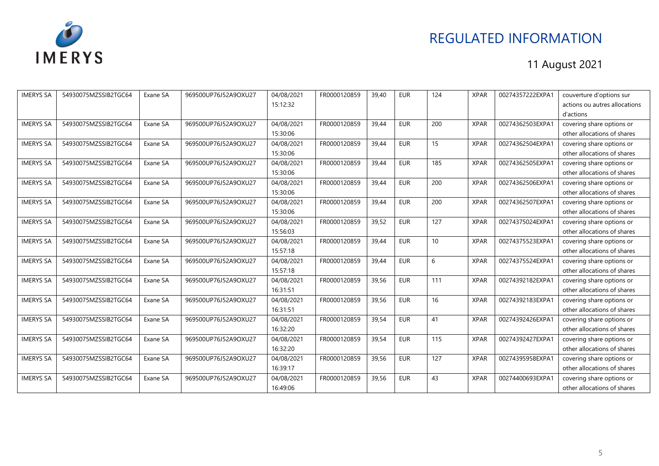

| <b>IMERYS SA</b> | 54930075MZSSIB2TGC64 | Exane SA | 969500UP76J52A9OXU27 | 04/08/2021 | FR0000120859 | 39,40 | <b>EUR</b> | 124 | <b>XPAR</b> | 00274357222EXPA1 | couverture d'options sur      |
|------------------|----------------------|----------|----------------------|------------|--------------|-------|------------|-----|-------------|------------------|-------------------------------|
|                  |                      |          |                      | 15:12:32   |              |       |            |     |             |                  | actions ou autres allocations |
|                  |                      |          |                      |            |              |       |            |     |             |                  | d'actions                     |
| <b>IMERYS SA</b> | 54930075MZSSIB2TGC64 | Exane SA | 969500UP76J52A9OXU27 | 04/08/2021 | FR0000120859 | 39,44 | <b>EUR</b> | 200 | <b>XPAR</b> | 00274362503EXPA1 | covering share options or     |
|                  |                      |          |                      | 15:30:06   |              |       |            |     |             |                  | other allocations of shares   |
| <b>IMERYS SA</b> | 54930075MZSSIB2TGC64 | Exane SA | 969500UP76J52A9OXU27 | 04/08/2021 | FR0000120859 | 39,44 | <b>EUR</b> | 15  | <b>XPAR</b> | 00274362504EXPA1 | covering share options or     |
|                  |                      |          |                      | 15:30:06   |              |       |            |     |             |                  | other allocations of shares   |
| <b>IMERYS SA</b> | 54930075MZSSIB2TGC64 | Exane SA | 969500UP76J52A9OXU27 | 04/08/2021 | FR0000120859 | 39,44 | <b>EUR</b> | 185 | <b>XPAR</b> | 00274362505EXPA1 | covering share options or     |
|                  |                      |          |                      | 15:30:06   |              |       |            |     |             |                  | other allocations of shares   |
| <b>IMERYS SA</b> | 54930075MZSSIB2TGC64 | Exane SA | 969500UP76J52A9OXU27 | 04/08/2021 | FR0000120859 | 39,44 | <b>EUR</b> | 200 | <b>XPAR</b> | 00274362506EXPA1 | covering share options or     |
|                  |                      |          |                      | 15:30:06   |              |       |            |     |             |                  | other allocations of shares   |
| <b>IMERYS SA</b> | 54930075MZSSIB2TGC64 | Exane SA | 969500UP76J52A9OXU27 | 04/08/2021 | FR0000120859 | 39,44 | <b>EUR</b> | 200 | <b>XPAR</b> | 00274362507EXPA1 | covering share options or     |
|                  |                      |          |                      | 15:30:06   |              |       |            |     |             |                  | other allocations of shares   |
| <b>IMERYS SA</b> | 54930075MZSSIB2TGC64 | Exane SA | 969500UP76J52A9OXU27 | 04/08/2021 | FR0000120859 | 39,52 | <b>EUR</b> | 127 | <b>XPAR</b> | 00274375024EXPA1 | covering share options or     |
|                  |                      |          |                      | 15:56:03   |              |       |            |     |             |                  | other allocations of shares   |
| <b>IMERYS SA</b> | 54930075MZSSIB2TGC64 | Exane SA | 969500UP76J52A9OXU27 | 04/08/2021 | FR0000120859 | 39,44 | <b>EUR</b> | 10  | <b>XPAR</b> | 00274375523EXPA1 | covering share options or     |
|                  |                      |          |                      | 15:57:18   |              |       |            |     |             |                  | other allocations of shares   |
| <b>IMERYS SA</b> | 54930075MZSSIB2TGC64 | Exane SA | 969500UP76J52A9OXU27 | 04/08/2021 | FR0000120859 | 39,44 | <b>EUR</b> | 6   | <b>XPAR</b> | 00274375524EXPA1 | covering share options or     |
|                  |                      |          |                      | 15:57:18   |              |       |            |     |             |                  | other allocations of shares   |
| <b>IMERYS SA</b> | 54930075MZSSIB2TGC64 | Exane SA | 969500UP76J52A9OXU27 | 04/08/2021 | FR0000120859 | 39,56 | <b>EUR</b> | 111 | <b>XPAR</b> | 00274392182EXPA1 | covering share options or     |
|                  |                      |          |                      | 16:31:51   |              |       |            |     |             |                  | other allocations of shares   |
| <b>IMERYS SA</b> | 54930075MZSSIB2TGC64 | Exane SA | 969500UP76J52A9OXU27 | 04/08/2021 | FR0000120859 | 39,56 | <b>EUR</b> | 16  | <b>XPAR</b> | 00274392183EXPA1 | covering share options or     |
|                  |                      |          |                      | 16:31:51   |              |       |            |     |             |                  | other allocations of shares   |
| <b>IMERYS SA</b> | 54930075MZSSIB2TGC64 | Exane SA | 969500UP76J52A9OXU27 | 04/08/2021 | FR0000120859 | 39,54 | <b>EUR</b> | 41  | <b>XPAR</b> | 00274392426EXPA1 | covering share options or     |
|                  |                      |          |                      | 16:32:20   |              |       |            |     |             |                  | other allocations of shares   |
| <b>IMERYS SA</b> | 54930075MZSSIB2TGC64 | Exane SA | 969500UP76J52A9OXU27 | 04/08/2021 | FR0000120859 | 39,54 | <b>EUR</b> | 115 | <b>XPAR</b> | 00274392427EXPA1 | covering share options or     |
|                  |                      |          |                      | 16:32:20   |              |       |            |     |             |                  | other allocations of shares   |
| <b>IMERYS SA</b> | 54930075MZSSIB2TGC64 | Exane SA | 969500UP76J52A9OXU27 | 04/08/2021 | FR0000120859 | 39,56 | <b>EUR</b> | 127 | <b>XPAR</b> | 00274395958EXPA1 | covering share options or     |
|                  |                      |          |                      | 16:39:17   |              |       |            |     |             |                  | other allocations of shares   |
| <b>IMERYS SA</b> | 54930075MZSSIB2TGC64 | Exane SA | 969500UP76J52A9OXU27 | 04/08/2021 | FR0000120859 | 39,56 | <b>EUR</b> | 43  | <b>XPAR</b> | 00274400693EXPA1 | covering share options or     |
|                  |                      |          |                      | 16:49:06   |              |       |            |     |             |                  | other allocations of shares   |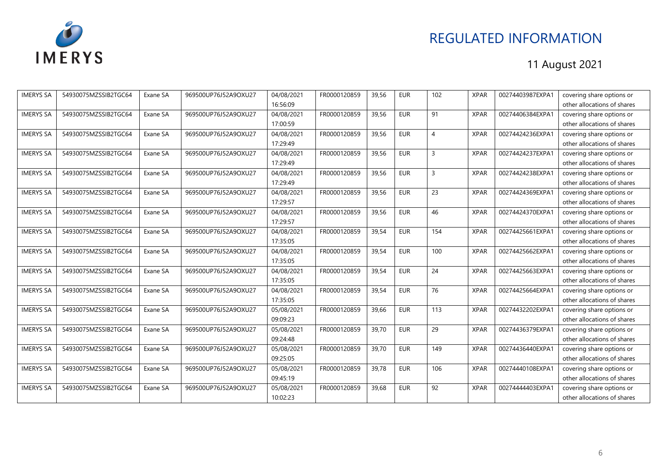

| <b>IMERYS SA</b> | 54930075MZSSIB2TGC64 | Exane SA | 969500UP76J52A9OXU27 | 04/08/2021 | FR0000120859 | 39,56 | <b>EUR</b> | 102            | <b>XPAR</b> | 00274403987EXPA1 | covering share options or   |
|------------------|----------------------|----------|----------------------|------------|--------------|-------|------------|----------------|-------------|------------------|-----------------------------|
|                  |                      |          |                      | 16:56:09   |              |       |            |                |             |                  | other allocations of shares |
| <b>IMERYS SA</b> | 54930075MZSSIB2TGC64 | Exane SA | 969500UP76J52A9OXU27 | 04/08/2021 | FR0000120859 | 39,56 | <b>EUR</b> | 91             | <b>XPAR</b> | 00274406384EXPA1 | covering share options or   |
|                  |                      |          |                      | 17:00:59   |              |       |            |                |             |                  | other allocations of shares |
| <b>IMERYS SA</b> | 54930075MZSSIB2TGC64 | Exane SA | 969500UP76J52A9OXU27 | 04/08/2021 | FR0000120859 | 39,56 | <b>EUR</b> | $\overline{4}$ | <b>XPAR</b> | 00274424236EXPA1 | covering share options or   |
|                  |                      |          |                      | 17:29:49   |              |       |            |                |             |                  | other allocations of shares |
| <b>IMERYS SA</b> | 54930075MZSSIB2TGC64 | Exane SA | 969500UP76J52A9OXU27 | 04/08/2021 | FR0000120859 | 39,56 | <b>EUR</b> | $\overline{3}$ | <b>XPAR</b> | 00274424237EXPA1 | covering share options or   |
|                  |                      |          |                      | 17:29:49   |              |       |            |                |             |                  | other allocations of shares |
| <b>IMERYS SA</b> | 54930075MZSSIB2TGC64 | Exane SA | 969500UP76J52A9OXU27 | 04/08/2021 | FR0000120859 | 39,56 | <b>EUR</b> | 3              | <b>XPAR</b> | 00274424238EXPA1 | covering share options or   |
|                  |                      |          |                      | 17:29:49   |              |       |            |                |             |                  | other allocations of shares |
| <b>IMERYS SA</b> | 54930075MZSSIB2TGC64 | Exane SA | 969500UP76J52A9OXU27 | 04/08/2021 | FR0000120859 | 39,56 | <b>EUR</b> | 23             | <b>XPAR</b> | 00274424369EXPA1 | covering share options or   |
|                  |                      |          |                      | 17:29:57   |              |       |            |                |             |                  | other allocations of shares |
| <b>IMERYS SA</b> | 54930075MZSSIB2TGC64 | Exane SA | 969500UP76J52A9OXU27 | 04/08/2021 | FR0000120859 | 39,56 | <b>EUR</b> | 46             | <b>XPAR</b> | 00274424370EXPA1 | covering share options or   |
|                  |                      |          |                      | 17:29:57   |              |       |            |                |             |                  | other allocations of shares |
| <b>IMERYS SA</b> | 54930075MZSSIB2TGC64 | Exane SA | 969500UP76J52A9OXU27 | 04/08/2021 | FR0000120859 | 39.54 | <b>EUR</b> | 154            | <b>XPAR</b> | 00274425661EXPA1 | covering share options or   |
|                  |                      |          |                      | 17:35:05   |              |       |            |                |             |                  | other allocations of shares |
| <b>IMERYS SA</b> | 54930075MZSSIB2TGC64 | Exane SA | 969500UP76J52A9OXU27 | 04/08/2021 | FR0000120859 | 39,54 | <b>EUR</b> | 100            | <b>XPAR</b> | 00274425662EXPA1 | covering share options or   |
|                  |                      |          |                      | 17:35:05   |              |       |            |                |             |                  | other allocations of shares |
| <b>IMERYS SA</b> | 54930075MZSSIB2TGC64 | Exane SA | 969500UP76J52A9OXU27 | 04/08/2021 | FR0000120859 | 39,54 | <b>EUR</b> | 24             | <b>XPAR</b> | 00274425663EXPA1 | covering share options or   |
|                  |                      |          |                      | 17:35:05   |              |       |            |                |             |                  | other allocations of shares |
| <b>IMERYS SA</b> | 54930075MZSSIB2TGC64 | Exane SA | 969500UP76J52A9OXU27 | 04/08/2021 | FR0000120859 | 39.54 | <b>EUR</b> | 76             | <b>XPAR</b> | 00274425664EXPA1 | covering share options or   |
|                  |                      |          |                      | 17:35:05   |              |       |            |                |             |                  | other allocations of shares |
| <b>IMERYS SA</b> | 54930075MZSSIB2TGC64 | Exane SA | 969500UP76J52A9OXU27 | 05/08/2021 | FR0000120859 | 39,66 | <b>EUR</b> | 113            | <b>XPAR</b> | 00274432202EXPA1 | covering share options or   |
|                  |                      |          |                      | 09:09:23   |              |       |            |                |             |                  | other allocations of shares |
| <b>IMERYS SA</b> | 54930075MZSSIB2TGC64 | Exane SA | 969500UP76J52A9OXU27 | 05/08/2021 | FR0000120859 | 39,70 | <b>EUR</b> | 29             | <b>XPAR</b> | 00274436379EXPA1 | covering share options or   |
|                  |                      |          |                      | 09:24:48   |              |       |            |                |             |                  | other allocations of shares |
| <b>IMERYS SA</b> | 54930075MZSSIB2TGC64 | Exane SA | 969500UP76J52A9OXU27 | 05/08/2021 | FR0000120859 | 39,70 | <b>EUR</b> | 149            | <b>XPAR</b> | 00274436440EXPA1 | covering share options or   |
|                  |                      |          |                      | 09:25:05   |              |       |            |                |             |                  | other allocations of shares |
| <b>IMERYS SA</b> | 54930075MZSSIB2TGC64 | Exane SA | 969500UP76J52A9OXU27 | 05/08/2021 | FR0000120859 | 39,78 | <b>EUR</b> | 106            | <b>XPAR</b> | 00274440108EXPA1 | covering share options or   |
|                  |                      |          |                      | 09:45:19   |              |       |            |                |             |                  | other allocations of shares |
| <b>IMERYS SA</b> | 54930075MZSSIB2TGC64 | Exane SA | 969500UP76J52A9OXU27 | 05/08/2021 | FR0000120859 | 39,68 | <b>EUR</b> | 92             | <b>XPAR</b> | 00274444403EXPA1 | covering share options or   |
|                  |                      |          |                      | 10:02:23   |              |       |            |                |             |                  | other allocations of shares |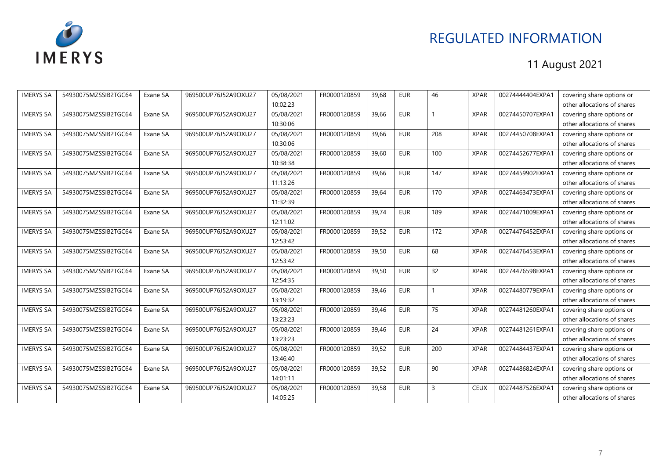

| <b>IMERYS SA</b> | 54930075MZSSIB2TGC64 | Exane SA | 969500UP76J52A9OXU27 | 05/08/2021 | FR0000120859 | 39,68 | <b>EUR</b> | 46              | <b>XPAR</b> | 00274444404EXPA1 | covering share options or   |
|------------------|----------------------|----------|----------------------|------------|--------------|-------|------------|-----------------|-------------|------------------|-----------------------------|
|                  |                      |          |                      | 10:02:23   |              |       |            |                 |             |                  | other allocations of shares |
| <b>IMERYS SA</b> | 54930075MZSSIB2TGC64 | Exane SA | 969500UP76J52A9OXU27 | 05/08/2021 | FR0000120859 | 39.66 | <b>EUR</b> |                 | <b>XPAR</b> | 00274450707EXPA1 | covering share options or   |
|                  |                      |          |                      | 10:30:06   |              |       |            |                 |             |                  | other allocations of shares |
| <b>IMERYS SA</b> | 54930075MZSSIB2TGC64 | Exane SA | 969500UP76J52A9OXU27 | 05/08/2021 | FR0000120859 | 39,66 | <b>EUR</b> | 208             | <b>XPAR</b> | 00274450708EXPA1 | covering share options or   |
|                  |                      |          |                      | 10:30:06   |              |       |            |                 |             |                  | other allocations of shares |
| <b>IMERYS SA</b> | 54930075MZSSIB2TGC64 | Exane SA | 969500UP76J52A9OXU27 | 05/08/2021 | FR0000120859 | 39,60 | <b>EUR</b> | 100             | <b>XPAR</b> | 00274452677EXPA1 | covering share options or   |
|                  |                      |          |                      | 10:38:38   |              |       |            |                 |             |                  | other allocations of shares |
| <b>IMERYS SA</b> | 54930075MZSSIB2TGC64 | Exane SA | 969500UP76J52A9OXU27 | 05/08/2021 | FR0000120859 | 39.66 | <b>EUR</b> | 147             | <b>XPAR</b> | 00274459902EXPA1 | covering share options or   |
|                  |                      |          |                      | 11:13:26   |              |       |            |                 |             |                  | other allocations of shares |
| <b>IMERYS SA</b> | 54930075MZSSIB2TGC64 | Exane SA | 969500UP76J52A9OXU27 | 05/08/2021 | FR0000120859 | 39,64 | <b>EUR</b> | 170             | <b>XPAR</b> | 00274463473EXPA1 | covering share options or   |
|                  |                      |          |                      | 11:32:39   |              |       |            |                 |             |                  | other allocations of shares |
| <b>IMERYS SA</b> | 54930075MZSSIB2TGC64 | Exane SA | 969500UP76J52A9OXU27 | 05/08/2021 | FR0000120859 | 39,74 | <b>EUR</b> | 189             | <b>XPAR</b> | 00274471009EXPA1 | covering share options or   |
|                  |                      |          |                      | 12:11:02   |              |       |            |                 |             |                  | other allocations of shares |
| <b>IMERYS SA</b> | 54930075MZSSIB2TGC64 | Exane SA | 969500UP76J52A9OXU27 | 05/08/2021 | FR0000120859 | 39.52 | <b>EUR</b> | 172             | <b>XPAR</b> | 00274476452EXPA1 | covering share options or   |
|                  |                      |          |                      | 12:53:42   |              |       |            |                 |             |                  | other allocations of shares |
| <b>IMERYS SA</b> | 54930075MZSSIB2TGC64 | Exane SA | 969500UP76J52A9OXU27 | 05/08/2021 | FR0000120859 | 39,50 | <b>EUR</b> | 68              | <b>XPAR</b> | 00274476453EXPA1 | covering share options or   |
|                  |                      |          |                      | 12:53:42   |              |       |            |                 |             |                  | other allocations of shares |
| <b>IMERYS SA</b> | 54930075MZSSIB2TGC64 | Exane SA | 969500UP76J52A9OXU27 | 05/08/2021 | FR0000120859 | 39,50 | <b>EUR</b> | $\overline{32}$ | <b>XPAR</b> | 00274476598EXPA1 | covering share options or   |
|                  |                      |          |                      | 12:54:35   |              |       |            |                 |             |                  | other allocations of shares |
| <b>IMERYS SA</b> | 54930075MZSSIB2TGC64 | Exane SA | 969500UP76J52A9OXU27 | 05/08/2021 | FR0000120859 | 39,46 | <b>EUR</b> |                 | <b>XPAR</b> | 00274480779EXPA1 | covering share options or   |
|                  |                      |          |                      | 13:19:32   |              |       |            |                 |             |                  | other allocations of shares |
| <b>IMERYS SA</b> | 54930075MZSSIB2TGC64 | Exane SA | 969500UP76J52A9OXU27 | 05/08/2021 | FR0000120859 | 39.46 | <b>EUR</b> | 75              | <b>XPAR</b> | 00274481260EXPA1 | covering share options or   |
|                  |                      |          |                      | 13:23:23   |              |       |            |                 |             |                  | other allocations of shares |
| <b>IMERYS SA</b> | 54930075MZSSIB2TGC64 | Exane SA | 969500UP76J52A9OXU27 | 05/08/2021 | FR0000120859 | 39,46 | <b>EUR</b> | 24              | <b>XPAR</b> | 00274481261EXPA1 | covering share options or   |
|                  |                      |          |                      | 13:23:23   |              |       |            |                 |             |                  | other allocations of shares |
| <b>IMERYS SA</b> | 54930075MZSSIB2TGC64 | Exane SA | 969500UP76J52A9OXU27 | 05/08/2021 | FR0000120859 | 39,52 | <b>EUR</b> | 200             | <b>XPAR</b> | 00274484437EXPA1 | covering share options or   |
|                  |                      |          |                      | 13:46:40   |              |       |            |                 |             |                  | other allocations of shares |
| <b>IMERYS SA</b> | 54930075MZSSIB2TGC64 | Exane SA | 969500UP76J52A9OXU27 | 05/08/2021 | FR0000120859 | 39,52 | <b>EUR</b> | 90              | <b>XPAR</b> | 00274486824EXPA1 | covering share options or   |
|                  |                      |          |                      | 14:01:11   |              |       |            |                 |             |                  | other allocations of shares |
| <b>IMERYS SA</b> | 54930075MZSSIB2TGC64 | Exane SA | 969500UP76J52A9OXU27 | 05/08/2021 | FR0000120859 | 39,58 | <b>EUR</b> | $\overline{3}$  | <b>CEUX</b> | 00274487526EXPA1 | covering share options or   |
|                  |                      |          |                      | 14:05:25   |              |       |            |                 |             |                  | other allocations of shares |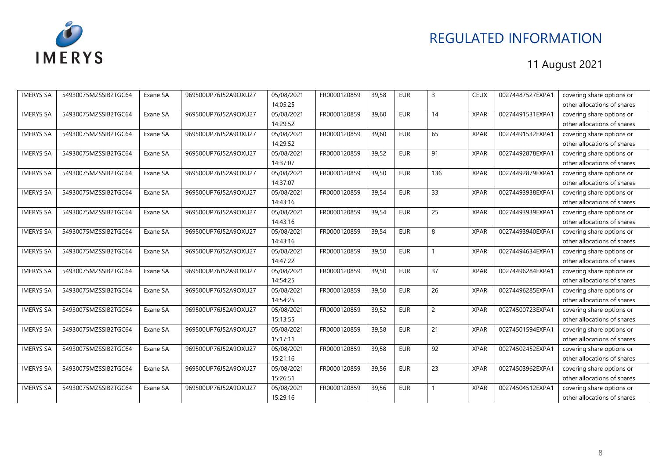

| <b>IMERYS SA</b> | 54930075MZSSIB2TGC64 | Exane SA | 969500UP76J52A9OXU27 | 05/08/2021 | FR0000120859 | 39.58 | <b>EUR</b> | $\overline{3}$ | <b>CEUX</b> | 00274487527EXPA1 | covering share options or   |
|------------------|----------------------|----------|----------------------|------------|--------------|-------|------------|----------------|-------------|------------------|-----------------------------|
|                  |                      |          |                      | 14:05:25   |              |       |            |                |             |                  | other allocations of shares |
| <b>IMERYS SA</b> | 54930075MZSSIB2TGC64 | Exane SA | 969500UP76J52A9OXU27 | 05/08/2021 | FR0000120859 | 39,60 | <b>EUR</b> | 14             | <b>XPAR</b> | 00274491531EXPA1 | covering share options or   |
|                  |                      |          |                      | 14:29:52   |              |       |            |                |             |                  | other allocations of shares |
| <b>IMERYS SA</b> | 54930075MZSSIB2TGC64 | Exane SA | 969500UP76J52A9OXU27 | 05/08/2021 | FR0000120859 | 39,60 | <b>EUR</b> | 65             | <b>XPAR</b> | 00274491532EXPA1 | covering share options or   |
|                  |                      |          |                      | 14:29:52   |              |       |            |                |             |                  | other allocations of shares |
| <b>IMERYS SA</b> | 54930075MZSSIB2TGC64 | Exane SA | 969500UP76J52A9OXU27 | 05/08/2021 | FR0000120859 | 39.52 | <b>EUR</b> | 91             | <b>XPAR</b> | 00274492878EXPA1 | covering share options or   |
|                  |                      |          |                      | 14:37:07   |              |       |            |                |             |                  | other allocations of shares |
| <b>IMERYS SA</b> | 54930075MZSSIB2TGC64 | Exane SA | 969500UP76J52A9OXU27 | 05/08/2021 | FR0000120859 | 39,50 | <b>EUR</b> | 136            | <b>XPAR</b> | 00274492879EXPA1 | covering share options or   |
|                  |                      |          |                      | 14:37:07   |              |       |            |                |             |                  | other allocations of shares |
| <b>IMERYS SA</b> | 54930075MZSSIB2TGC64 | Exane SA | 969500UP76J52A9OXU27 | 05/08/2021 | FR0000120859 | 39,54 | <b>EUR</b> | 33             | <b>XPAR</b> | 00274493938EXPA1 | covering share options or   |
|                  |                      |          |                      | 14:43:16   |              |       |            |                |             |                  | other allocations of shares |
| <b>IMERYS SA</b> | 54930075MZSSIB2TGC64 | Exane SA | 969500UP76J52A9OXU27 | 05/08/2021 | FR0000120859 | 39,54 | <b>EUR</b> | 25             | <b>XPAR</b> | 00274493939EXPA1 | covering share options or   |
|                  |                      |          |                      | 14:43:16   |              |       |            |                |             |                  | other allocations of shares |
| <b>IMERYS SA</b> | 54930075MZSSIB2TGC64 | Exane SA | 969500UP76J52A9OXU27 | 05/08/2021 | FR0000120859 | 39,54 | <b>EUR</b> | 8              | <b>XPAR</b> | 00274493940EXPA1 | covering share options or   |
|                  |                      |          |                      | 14:43:16   |              |       |            |                |             |                  | other allocations of shares |
| <b>IMERYS SA</b> | 54930075MZSSIB2TGC64 | Exane SA | 969500UP76J52A9OXU27 | 05/08/2021 | FR0000120859 | 39.50 | <b>EUR</b> |                | <b>XPAR</b> | 00274494634EXPA1 | covering share options or   |
|                  |                      |          |                      | 14:47:22   |              |       |            |                |             |                  | other allocations of shares |
| <b>IMERYS SA</b> | 54930075MZSSIB2TGC64 | Exane SA | 969500UP76J52A9OXU27 | 05/08/2021 | FR0000120859 | 39,50 | <b>EUR</b> | 37             | <b>XPAR</b> | 00274496284EXPA1 | covering share options or   |
|                  |                      |          |                      | 14:54:25   |              |       |            |                |             |                  | other allocations of shares |
| <b>IMERYS SA</b> | 54930075MZSSIB2TGC64 | Exane SA | 969500UP76J52A9OXU27 | 05/08/2021 | FR0000120859 | 39,50 | <b>EUR</b> | 26             | <b>XPAR</b> | 00274496285EXPA1 | covering share options or   |
|                  |                      |          |                      | 14:54:25   |              |       |            |                |             |                  | other allocations of shares |
| <b>IMERYS SA</b> | 54930075MZSSIB2TGC64 | Exane SA | 969500UP76J52A9OXU27 | 05/08/2021 | FR0000120859 | 39.52 | <b>EUR</b> | $\overline{2}$ | <b>XPAR</b> | 00274500723EXPA1 | covering share options or   |
|                  |                      |          |                      | 15:13:55   |              |       |            |                |             |                  | other allocations of shares |
| <b>IMERYS SA</b> | 54930075MZSSIB2TGC64 | Exane SA | 969500UP76J52A9OXU27 | 05/08/2021 | FR0000120859 | 39,58 | <b>EUR</b> | 21             | <b>XPAR</b> | 00274501594EXPA1 | covering share options or   |
|                  |                      |          |                      | 15:17:11   |              |       |            |                |             |                  | other allocations of shares |
| <b>IMERYS SA</b> | 54930075MZSSIB2TGC64 | Exane SA | 969500UP76J52A9OXU27 | 05/08/2021 | FR0000120859 | 39,58 | <b>EUR</b> | 92             | <b>XPAR</b> | 00274502452EXPA1 | covering share options or   |
|                  |                      |          |                      | 15:21:16   |              |       |            |                |             |                  | other allocations of shares |
| <b>IMERYS SA</b> | 54930075MZSSIB2TGC64 | Exane SA | 969500UP76J52A9OXU27 | 05/08/2021 | FR0000120859 | 39,56 | <b>EUR</b> | 23             | <b>XPAR</b> | 00274503962EXPA1 | covering share options or   |
|                  |                      |          |                      | 15:26:51   |              |       |            |                |             |                  | other allocations of shares |
| <b>IMERYS SA</b> | 54930075MZSSIB2TGC64 | Exane SA | 969500UP76J52A9OXU27 | 05/08/2021 | FR0000120859 | 39,56 | <b>EUR</b> |                | <b>XPAR</b> | 00274504512EXPA1 | covering share options or   |
|                  |                      |          |                      | 15:29:16   |              |       |            |                |             |                  | other allocations of shares |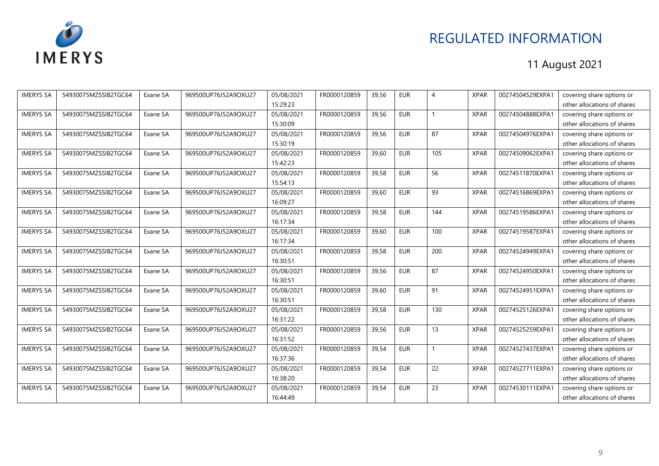

| <b>IMERYS SA</b> | 54930075MZSSIB2TGC64 | Exane SA | 969500UP76J52A9OXU27 | 05/08/2021 | FR0000120859 | 39,56 | <b>EUR</b> | $\overline{A}$  | <b>XPAR</b> | 00274504529EXPA1 | covering share options or   |
|------------------|----------------------|----------|----------------------|------------|--------------|-------|------------|-----------------|-------------|------------------|-----------------------------|
|                  |                      |          |                      | 15:29:23   |              |       |            |                 |             |                  | other allocations of shares |
| <b>IMERYS SA</b> | 54930075MZSSIB2TGC64 | Exane SA | 969500UP76J52A9OXU27 | 05/08/2021 | FR0000120859 | 39,56 | <b>EUR</b> |                 | <b>XPAR</b> | 00274504888EXPA1 | covering share options or   |
|                  |                      |          |                      | 15:30:09   |              |       |            |                 |             |                  | other allocations of shares |
| <b>IMERYS SA</b> | 54930075MZSSIB2TGC64 | Exane SA | 969500UP76J52A9OXU27 | 05/08/2021 | FR0000120859 | 39,56 | <b>EUR</b> | 87              | <b>XPAR</b> | 00274504976EXPA1 | covering share options or   |
|                  |                      |          |                      | 15:30:19   |              |       |            |                 |             |                  | other allocations of shares |
| <b>IMERYS SA</b> | 54930075MZSSIB2TGC64 | Exane SA | 969500UP76J52A9OXU27 | 05/08/2021 | FR0000120859 | 39.60 | <b>EUR</b> | 105             | <b>XPAR</b> | 00274509062EXPA1 | covering share options or   |
|                  |                      |          |                      | 15:42:23   |              |       |            |                 |             |                  | other allocations of shares |
| <b>IMERYS SA</b> | 54930075MZSSIB2TGC64 | Exane SA | 969500UP76J52A9OXU27 | 05/08/2021 | FR0000120859 | 39,58 | <b>EUR</b> | 56              | <b>XPAR</b> | 00274511870EXPA1 | covering share options or   |
|                  |                      |          |                      | 15:54:13   |              |       |            |                 |             |                  | other allocations of shares |
| <b>IMERYS SA</b> | 54930075MZSSIB2TGC64 | Exane SA | 969500UP76J52A9OXU27 | 05/08/2021 | FR0000120859 | 39,60 | <b>EUR</b> | 93              | <b>XPAR</b> | 00274516869EXPA1 | covering share options or   |
|                  |                      |          |                      | 16:09:27   |              |       |            |                 |             |                  | other allocations of shares |
| <b>IMERYS SA</b> | 54930075MZSSIB2TGC64 | Exane SA | 969500UP76J52A9OXU27 | 05/08/2021 | FR0000120859 | 39,58 | <b>EUR</b> | 144             | <b>XPAR</b> | 00274519586EXPA1 | covering share options or   |
|                  |                      |          |                      | 16:17:34   |              |       |            |                 |             |                  | other allocations of shares |
| <b>IMERYS SA</b> | 54930075MZSSIB2TGC64 | Exane SA | 969500UP76J52A9OXU27 | 05/08/2021 | FR0000120859 | 39,60 | <b>EUR</b> | 100             | <b>XPAR</b> | 00274519587EXPA1 | covering share options or   |
|                  |                      |          |                      | 16:17:34   |              |       |            |                 |             |                  | other allocations of shares |
| <b>IMERYS SA</b> | 54930075MZSSIB2TGC64 | Exane SA | 969500UP76J52A9OXU27 | 05/08/2021 | FR0000120859 | 39,58 | <b>EUR</b> | 200             | <b>XPAR</b> | 00274524949EXPA1 | covering share options or   |
|                  |                      |          |                      | 16:30:51   |              |       |            |                 |             |                  | other allocations of shares |
| <b>IMERYS SA</b> | 54930075MZSSIB2TGC64 | Exane SA | 969500UP76J52A9OXU27 | 05/08/2021 | FR0000120859 | 39,56 | <b>EUR</b> | 87              | <b>XPAR</b> | 00274524950EXPA1 | covering share options or   |
|                  |                      |          |                      | 16:30:51   |              |       |            |                 |             |                  | other allocations of shares |
| <b>IMERYS SA</b> | 54930075MZSSIB2TGC64 | Exane SA | 969500UP76J52A9OXU27 | 05/08/2021 | FR0000120859 | 39,60 | <b>EUR</b> | 91              | <b>XPAR</b> | 00274524951EXPA1 | covering share options or   |
|                  |                      |          |                      | 16:30:51   |              |       |            |                 |             |                  | other allocations of shares |
| <b>IMERYS SA</b> | 54930075MZSSIB2TGC64 | Exane SA | 969500UP76J52A9OXU27 | 05/08/2021 | FR0000120859 | 39.58 | <b>EUR</b> | 130             | <b>XPAR</b> | 00274525126EXPA1 | covering share options or   |
|                  |                      |          |                      | 16:31:22   |              |       |            |                 |             |                  | other allocations of shares |
| <b>IMERYS SA</b> | 54930075MZSSIB2TGC64 | Exane SA | 969500UP76J52A9OXU27 | 05/08/2021 | FR0000120859 | 39,56 | <b>EUR</b> | 13              | <b>XPAR</b> | 00274525259EXPA1 | covering share options or   |
|                  |                      |          |                      | 16:31:52   |              |       |            |                 |             |                  | other allocations of shares |
| <b>IMERYS SA</b> | 54930075MZSSIB2TGC64 | Exane SA | 969500UP76J52A9OXU27 | 05/08/2021 | FR0000120859 | 39,54 | <b>EUR</b> |                 | <b>XPAR</b> | 00274527437EXPA1 | covering share options or   |
|                  |                      |          |                      | 16:37:36   |              |       |            |                 |             |                  | other allocations of shares |
| <b>IMERYS SA</b> | 54930075MZSSIB2TGC64 | Exane SA | 969500UP76J52A9OXU27 | 05/08/2021 | FR0000120859 | 39,54 | <b>EUR</b> | $\overline{22}$ | <b>XPAR</b> | 00274527711EXPA1 | covering share options or   |
|                  |                      |          |                      | 16:38:20   |              |       |            |                 |             |                  | other allocations of shares |
| <b>IMERYS SA</b> | 54930075MZSSIB2TGC64 | Exane SA | 969500UP76J52A9OXU27 | 05/08/2021 | FR0000120859 | 39,54 | <b>EUR</b> | 23              | <b>XPAR</b> | 00274530111EXPA1 | covering share options or   |
|                  |                      |          |                      | 16:44:49   |              |       |            |                 |             |                  | other allocations of shares |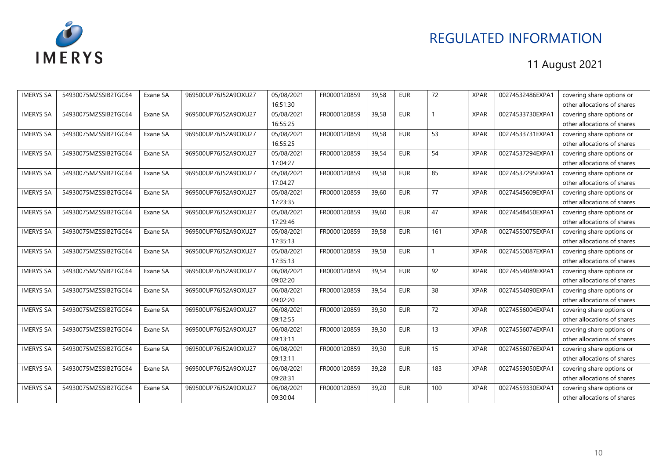

| <b>IMERYS SA</b> | 54930075MZSSIB2TGC64 | Exane SA | 969500UP76J52A9OXU27 | 05/08/2021 | FR0000120859 | 39.58 | <b>EUR</b> | 72  | <b>XPAR</b> | 00274532486EXPA1 | covering share options or   |
|------------------|----------------------|----------|----------------------|------------|--------------|-------|------------|-----|-------------|------------------|-----------------------------|
|                  |                      |          |                      | 16:51:30   |              |       |            |     |             |                  | other allocations of shares |
| <b>IMERYS SA</b> | 54930075MZSSIB2TGC64 | Exane SA | 969500UP76J52A9OXU27 | 05/08/2021 | FR0000120859 | 39,58 | <b>EUR</b> |     | <b>XPAR</b> | 00274533730EXPA1 | covering share options or   |
|                  |                      |          |                      | 16:55:25   |              |       |            |     |             |                  | other allocations of shares |
| <b>IMERYS SA</b> | 54930075MZSSIB2TGC64 | Exane SA | 969500UP76J52A9OXU27 | 05/08/2021 | FR0000120859 | 39,58 | <b>EUR</b> | 53  | <b>XPAR</b> | 00274533731EXPA1 | covering share options or   |
|                  |                      |          |                      | 16:55:25   |              |       |            |     |             |                  | other allocations of shares |
| <b>IMERYS SA</b> | 54930075MZSSIB2TGC64 | Exane SA | 969500UP76J52A9OXU27 | 05/08/2021 | FR0000120859 | 39.54 | <b>EUR</b> | 54  | <b>XPAR</b> | 00274537294EXPA1 | covering share options or   |
|                  |                      |          |                      | 17:04:27   |              |       |            |     |             |                  | other allocations of shares |
| <b>IMERYS SA</b> | 54930075MZSSIB2TGC64 | Exane SA | 969500UP76J52A9OXU27 | 05/08/2021 | FR0000120859 | 39,58 | <b>EUR</b> | 85  | <b>XPAR</b> | 00274537295EXPA1 | covering share options or   |
|                  |                      |          |                      | 17:04:27   |              |       |            |     |             |                  | other allocations of shares |
| <b>IMERYS SA</b> | 54930075MZSSIB2TGC64 | Exane SA | 969500UP76J52A9OXU27 | 05/08/2021 | FR0000120859 | 39,60 | <b>EUR</b> | 77  | <b>XPAR</b> | 00274545609EXPA1 | covering share options or   |
|                  |                      |          |                      | 17:23:35   |              |       |            |     |             |                  | other allocations of shares |
| <b>IMERYS SA</b> | 54930075MZSSIB2TGC64 | Exane SA | 969500UP76J52A9OXU27 | 05/08/2021 | FR0000120859 | 39.60 | <b>EUR</b> | 47  | <b>XPAR</b> | 00274548450EXPA1 | covering share options or   |
|                  |                      |          |                      | 17:29:46   |              |       |            |     |             |                  | other allocations of shares |
| <b>IMERYS SA</b> | 54930075MZSSIB2TGC64 | Exane SA | 969500UP76J52A9OXU27 | 05/08/2021 | FR0000120859 | 39,58 | <b>EUR</b> | 161 | <b>XPAR</b> | 00274550075EXPA1 | covering share options or   |
|                  |                      |          |                      | 17:35:13   |              |       |            |     |             |                  | other allocations of shares |
| <b>IMERYS SA</b> | 54930075MZSSIB2TGC64 | Exane SA | 969500UP76J52A9OXU27 | 05/08/2021 | FR0000120859 | 39.58 | <b>EUR</b> |     | <b>XPAR</b> | 00274550087EXPA1 | covering share options or   |
|                  |                      |          |                      | 17:35:13   |              |       |            |     |             |                  | other allocations of shares |
| <b>IMERYS SA</b> | 54930075MZSSIB2TGC64 | Exane SA | 969500UP76J52A9OXU27 | 06/08/2021 | FR0000120859 | 39,54 | <b>EUR</b> | 92  | <b>XPAR</b> | 00274554089EXPA1 | covering share options or   |
|                  |                      |          |                      | 09:02:20   |              |       |            |     |             |                  | other allocations of shares |
| <b>IMERYS SA</b> | 54930075MZSSIB2TGC64 | Exane SA | 969500UP76J52A9OXU27 | 06/08/2021 | FR0000120859 | 39,54 | <b>EUR</b> | 38  | <b>XPAR</b> | 00274554090EXPA1 | covering share options or   |
|                  |                      |          |                      | 09:02:20   |              |       |            |     |             |                  | other allocations of shares |
| <b>IMERYS SA</b> | 54930075MZSSIB2TGC64 | Exane SA | 969500UP76J52A9OXU27 | 06/08/2021 | FR0000120859 | 39.30 | <b>EUR</b> | 72  | <b>XPAR</b> | 00274556004EXPA1 | covering share options or   |
|                  |                      |          |                      | 09:12:55   |              |       |            |     |             |                  | other allocations of shares |
| <b>IMERYS SA</b> | 54930075MZSSIB2TGC64 | Exane SA | 969500UP76J52A9OXU27 | 06/08/2021 | FR0000120859 | 39,30 | <b>EUR</b> | 13  | <b>XPAR</b> | 00274556074EXPA1 | covering share options or   |
|                  |                      |          |                      | 09:13:11   |              |       |            |     |             |                  | other allocations of shares |
| <b>IMERYS SA</b> | 54930075MZSSIB2TGC64 | Exane SA | 969500UP76J52A9OXU27 | 06/08/2021 | FR0000120859 | 39,30 | <b>EUR</b> | 15  | <b>XPAR</b> | 00274556076EXPA1 | covering share options or   |
|                  |                      |          |                      | 09:13:11   |              |       |            |     |             |                  | other allocations of shares |
| <b>IMERYS SA</b> | 54930075MZSSIB2TGC64 | Exane SA | 969500UP76J52A9OXU27 | 06/08/2021 | FR0000120859 | 39,28 | <b>EUR</b> | 183 | <b>XPAR</b> | 00274559050EXPA1 | covering share options or   |
|                  |                      |          |                      | 09:28:31   |              |       |            |     |             |                  | other allocations of shares |
| <b>IMERYS SA</b> | 54930075MZSSIB2TGC64 | Exane SA | 969500UP76J52A9OXU27 | 06/08/2021 | FR0000120859 | 39,20 | <b>EUR</b> | 100 | <b>XPAR</b> | 00274559330EXPA1 | covering share options or   |
|                  |                      |          |                      | 09:30:04   |              |       |            |     |             |                  | other allocations of shares |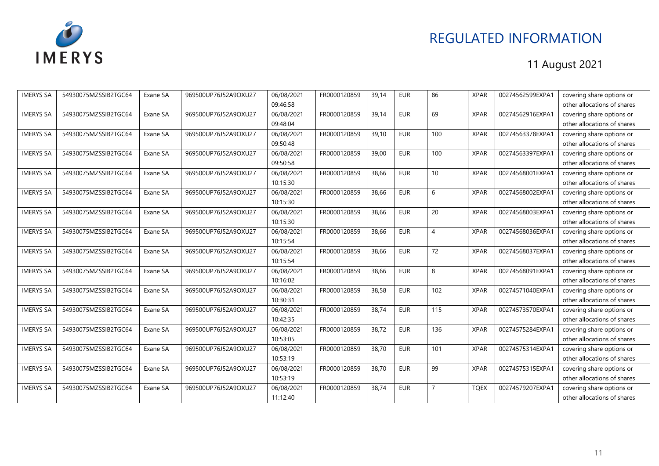

| <b>IMERYS SA</b> | 54930075MZSSIB2TGC64 | Exane SA | 969500UP76J52A9OXU27 | 06/08/2021 | FR0000120859 | 39,14 | <b>EUR</b> | 86             | <b>XPAR</b> | 00274562599EXPA1 | covering share options or   |
|------------------|----------------------|----------|----------------------|------------|--------------|-------|------------|----------------|-------------|------------------|-----------------------------|
|                  |                      |          |                      | 09:46:58   |              |       |            |                |             |                  | other allocations of shares |
| <b>IMERYS SA</b> | 54930075MZSSIB2TGC64 | Exane SA | 969500UP76J52A9OXU27 | 06/08/2021 | FR0000120859 | 39,14 | <b>EUR</b> | 69             | <b>XPAR</b> | 00274562916EXPA1 | covering share options or   |
|                  |                      |          |                      | 09:48:04   |              |       |            |                |             |                  | other allocations of shares |
| <b>IMERYS SA</b> | 54930075MZSSIB2TGC64 | Exane SA | 969500UP76J52A9OXU27 | 06/08/2021 | FR0000120859 | 39,10 | <b>EUR</b> | 100            | <b>XPAR</b> | 00274563378EXPA1 | covering share options or   |
|                  |                      |          |                      | 09:50:48   |              |       |            |                |             |                  | other allocations of shares |
| <b>IMERYS SA</b> | 54930075MZSSIB2TGC64 | Exane SA | 969500UP76J52A9OXU27 | 06/08/2021 | FR0000120859 | 39,00 | <b>EUR</b> | 100            | <b>XPAR</b> | 00274563397EXPA1 | covering share options or   |
|                  |                      |          |                      | 09:50:58   |              |       |            |                |             |                  | other allocations of shares |
| <b>IMERYS SA</b> | 54930075MZSSIB2TGC64 | Exane SA | 969500UP76J52A9OXU27 | 06/08/2021 | FR0000120859 | 38.66 | <b>EUR</b> | 10             | <b>XPAR</b> | 00274568001EXPA1 | covering share options or   |
|                  |                      |          |                      | 10:15:30   |              |       |            |                |             |                  | other allocations of shares |
| <b>IMERYS SA</b> | 54930075MZSSIB2TGC64 | Exane SA | 969500UP76J52A9OXU27 | 06/08/2021 | FR0000120859 | 38,66 | <b>EUR</b> | 6              | <b>XPAR</b> | 00274568002EXPA1 | covering share options or   |
|                  |                      |          |                      | 10:15:30   |              |       |            |                |             |                  | other allocations of shares |
| <b>IMERYS SA</b> | 54930075MZSSIB2TGC64 | Exane SA | 969500UP76J52A9OXU27 | 06/08/2021 | FR0000120859 | 38,66 | <b>EUR</b> | 20             | <b>XPAR</b> | 00274568003EXPA1 | covering share options or   |
|                  |                      |          |                      | 10:15:30   |              |       |            |                |             |                  | other allocations of shares |
| <b>IMERYS SA</b> | 54930075MZSSIB2TGC64 | Exane SA | 969500UP76J52A9OXU27 | 06/08/2021 | FR0000120859 | 38.66 | <b>EUR</b> | $\overline{4}$ | <b>XPAR</b> | 00274568036EXPA1 | covering share options or   |
|                  |                      |          |                      | 10:15:54   |              |       |            |                |             |                  | other allocations of shares |
| <b>IMERYS SA</b> | 54930075MZSSIB2TGC64 | Exane SA | 969500UP76J52A9OXU27 | 06/08/2021 | FR0000120859 | 38.66 | <b>EUR</b> | 72             | <b>XPAR</b> | 00274568037EXPA1 | covering share options or   |
|                  |                      |          |                      | 10:15:54   |              |       |            |                |             |                  | other allocations of shares |
| <b>IMERYS SA</b> | 54930075MZSSIB2TGC64 | Exane SA | 969500UP76J52A9OXU27 | 06/08/2021 | FR0000120859 | 38,66 | <b>EUR</b> | 8              | <b>XPAR</b> | 00274568091EXPA1 | covering share options or   |
|                  |                      |          |                      | 10:16:02   |              |       |            |                |             |                  | other allocations of shares |
| <b>IMERYS SA</b> | 54930075MZSSIB2TGC64 | Exane SA | 969500UP76J52A9OXU27 | 06/08/2021 | FR0000120859 | 38,58 | <b>EUR</b> | 102            | <b>XPAR</b> | 00274571040EXPA1 | covering share options or   |
|                  |                      |          |                      | 10:30:31   |              |       |            |                |             |                  | other allocations of shares |
| <b>IMERYS SA</b> | 54930075MZSSIB2TGC64 | Exane SA | 969500UP76J52A9OXU27 | 06/08/2021 | FR0000120859 | 38.74 | <b>EUR</b> | 115            | <b>XPAR</b> | 00274573570EXPA1 | covering share options or   |
|                  |                      |          |                      | 10:42:35   |              |       |            |                |             |                  | other allocations of shares |
| <b>IMERYS SA</b> | 54930075MZSSIB2TGC64 | Exane SA | 969500UP76J52A9OXU27 | 06/08/2021 | FR0000120859 | 38,72 | <b>EUR</b> | 136            | <b>XPAR</b> | 00274575284EXPA1 | covering share options or   |
|                  |                      |          |                      | 10:53:05   |              |       |            |                |             |                  | other allocations of shares |
| <b>IMERYS SA</b> | 54930075MZSSIB2TGC64 | Exane SA | 969500UP76J52A9OXU27 | 06/08/2021 | FR0000120859 | 38,70 | <b>EUR</b> | 101            | <b>XPAR</b> | 00274575314EXPA1 | covering share options or   |
|                  |                      |          |                      | 10:53:19   |              |       |            |                |             |                  | other allocations of shares |
| <b>IMERYS SA</b> | 54930075MZSSIB2TGC64 | Exane SA | 969500UP76J52A9OXU27 | 06/08/2021 | FR0000120859 | 38,70 | <b>EUR</b> | 99             | <b>XPAR</b> | 00274575315EXPA1 | covering share options or   |
|                  |                      |          |                      | 10:53:19   |              |       |            |                |             |                  | other allocations of shares |
| <b>IMERYS SA</b> | 54930075MZSSIB2TGC64 | Exane SA | 969500UP76J52A9OXU27 | 06/08/2021 | FR0000120859 | 38,74 | <b>EUR</b> | $\overline{7}$ | <b>TQEX</b> | 00274579207EXPA1 | covering share options or   |
|                  |                      |          |                      | 11:12:40   |              |       |            |                |             |                  | other allocations of shares |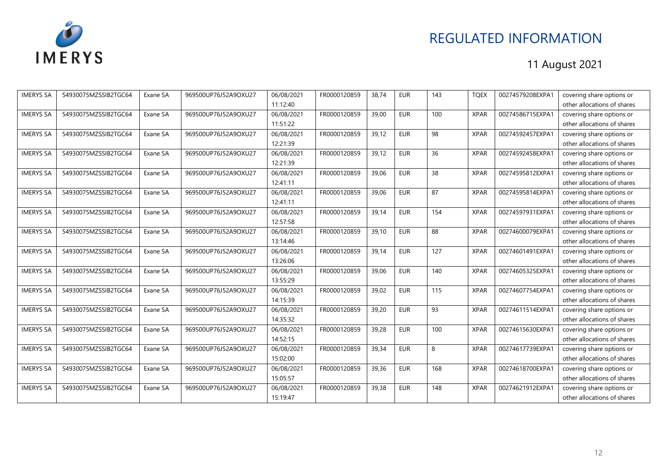

| <b>IMERYS SA</b> | 54930075MZSSIB2TGC64 | Exane SA | 969500UP76J52A9OXU27 | 06/08/2021 | FR0000120859 | 38,74 | <b>EUR</b> | 143 | <b>TQEX</b> | 00274579208EXPA1 | covering share options or   |
|------------------|----------------------|----------|----------------------|------------|--------------|-------|------------|-----|-------------|------------------|-----------------------------|
|                  |                      |          |                      | 11:12:40   |              |       |            |     |             |                  | other allocations of shares |
| <b>IMERYS SA</b> | 54930075MZSSIB2TGC64 | Exane SA | 969500UP76J52A9OXU27 | 06/08/2021 | FR0000120859 | 39,00 | <b>EUR</b> | 100 | <b>XPAR</b> | 00274586715EXPA1 | covering share options or   |
|                  |                      |          |                      | 11:51:22   |              |       |            |     |             |                  | other allocations of shares |
| <b>IMERYS SA</b> | 54930075MZSSIB2TGC64 | Exane SA | 969500UP76J52A9OXU27 | 06/08/2021 | FR0000120859 | 39,12 | <b>EUR</b> | 98  | <b>XPAR</b> | 00274592457EXPA1 | covering share options or   |
|                  |                      |          |                      | 12:21:39   |              |       |            |     |             |                  | other allocations of shares |
| <b>IMERYS SA</b> | 54930075MZSSIB2TGC64 | Exane SA | 969500UP76J52A9OXU27 | 06/08/2021 | FR0000120859 | 39,12 | <b>EUR</b> | 36  | <b>XPAR</b> | 00274592458EXPA1 | covering share options or   |
|                  |                      |          |                      | 12:21:39   |              |       |            |     |             |                  | other allocations of shares |
| <b>IMERYS SA</b> | 54930075MZSSIB2TGC64 | Exane SA | 969500UP76J52A9OXU27 | 06/08/2021 | FR0000120859 | 39.06 | <b>EUR</b> | 38  | <b>XPAR</b> | 00274595812EXPA1 | covering share options or   |
|                  |                      |          |                      | 12:41:11   |              |       |            |     |             |                  | other allocations of shares |
| <b>IMERYS SA</b> | 54930075MZSSIB2TGC64 | Exane SA | 969500UP76J52A9OXU27 | 06/08/2021 | FR0000120859 | 39,06 | <b>EUR</b> | 87  | <b>XPAR</b> | 00274595814EXPA1 | covering share options or   |
|                  |                      |          |                      | 12:41:11   |              |       |            |     |             |                  | other allocations of shares |
| <b>IMERYS SA</b> | 54930075MZSSIB2TGC64 | Exane SA | 969500UP76J52A9OXU27 | 06/08/2021 | FR0000120859 | 39,14 | <b>EUR</b> | 154 | <b>XPAR</b> | 00274597931EXPA1 | covering share options or   |
|                  |                      |          |                      | 12:57:58   |              |       |            |     |             |                  | other allocations of shares |
| <b>IMERYS SA</b> | 54930075MZSSIB2TGC64 | Exane SA | 969500UP76J52A9OXU27 | 06/08/2021 | FR0000120859 | 39.10 | <b>EUR</b> | 88  | <b>XPAR</b> | 00274600079EXPA1 | covering share options or   |
|                  |                      |          |                      | 13:14:46   |              |       |            |     |             |                  | other allocations of shares |
| <b>IMERYS SA</b> | 54930075MZSSIB2TGC64 | Exane SA | 969500UP76J52A9OXU27 | 06/08/2021 | FR0000120859 | 39,14 | <b>EUR</b> | 127 | <b>XPAR</b> | 00274601491EXPA1 | covering share options or   |
|                  |                      |          |                      | 13:26:06   |              |       |            |     |             |                  | other allocations of shares |
| <b>IMERYS SA</b> | 54930075MZSSIB2TGC64 | Exane SA | 969500UP76J52A9OXU27 | 06/08/2021 | FR0000120859 | 39,06 | <b>EUR</b> | 140 | <b>XPAR</b> | 00274605325EXPA1 | covering share options or   |
|                  |                      |          |                      | 13:55:29   |              |       |            |     |             |                  | other allocations of shares |
| <b>IMERYS SA</b> | 54930075MZSSIB2TGC64 | Exane SA | 969500UP76J52A9OXU27 | 06/08/2021 | FR0000120859 | 39,02 | <b>EUR</b> | 115 | <b>XPAR</b> | 00274607754EXPA1 | covering share options or   |
|                  |                      |          |                      | 14:15:39   |              |       |            |     |             |                  | other allocations of shares |
| <b>IMERYS SA</b> | 54930075MZSSIB2TGC64 | Exane SA | 969500UP76J52A9OXU27 | 06/08/2021 | FR0000120859 | 39,20 | <b>EUR</b> | 93  | <b>XPAR</b> | 00274611514EXPA1 | covering share options or   |
|                  |                      |          |                      | 14:35:32   |              |       |            |     |             |                  | other allocations of shares |
| <b>IMERYS SA</b> | 54930075MZSSIB2TGC64 | Exane SA | 969500UP76J52A9OXU27 | 06/08/2021 | FR0000120859 | 39,28 | <b>EUR</b> | 100 | <b>XPAR</b> | 00274615630EXPA1 | covering share options or   |
|                  |                      |          |                      | 14:52:15   |              |       |            |     |             |                  | other allocations of shares |
| <b>IMERYS SA</b> | 54930075MZSSIB2TGC64 | Exane SA | 969500UP76J52A9OXU27 | 06/08/2021 | FR0000120859 | 39,34 | <b>EUR</b> | 8   | <b>XPAR</b> | 00274617739EXPA1 | covering share options or   |
|                  |                      |          |                      | 15:02:00   |              |       |            |     |             |                  | other allocations of shares |
| <b>IMERYS SA</b> | 54930075MZSSIB2TGC64 | Exane SA | 969500UP76J52A9OXU27 | 06/08/2021 | FR0000120859 | 39,36 | <b>EUR</b> | 168 | <b>XPAR</b> | 00274618700EXPA1 | covering share options or   |
|                  |                      |          |                      | 15:05:57   |              |       |            |     |             |                  | other allocations of shares |
| <b>IMERYS SA</b> | 54930075MZSSIB2TGC64 | Exane SA | 969500UP76J52A9OXU27 | 06/08/2021 | FR0000120859 | 39,38 | <b>EUR</b> | 148 | <b>XPAR</b> | 00274621912EXPA1 | covering share options or   |
|                  |                      |          |                      | 15:19:47   |              |       |            |     |             |                  | other allocations of shares |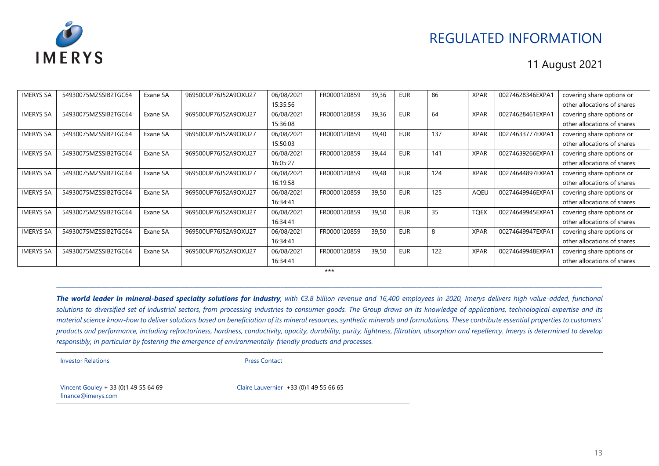

#### 11 August 2021

| <b>IMERYS SA</b> | 54930075MZSSIB2TGC64 | Exane SA | 969500UP76J52A9OXU27 | 06/08/2021 | FR0000120859 | 39,36 | EUR        | 86  | <b>XPAR</b> | 00274628346EXPA1 | covering share options or   |
|------------------|----------------------|----------|----------------------|------------|--------------|-------|------------|-----|-------------|------------------|-----------------------------|
|                  |                      |          |                      | 15:35:56   |              |       |            |     |             |                  | other allocations of shares |
| <b>IMERYS SA</b> | 54930075MZSSIB2TGC64 | Exane SA | 969500UP76J52A9OXU27 | 06/08/2021 | FR0000120859 | 39,36 | <b>EUR</b> | 64  | <b>XPAR</b> | 00274628461EXPA1 | covering share options or   |
|                  |                      |          |                      | 15:36:08   |              |       |            |     |             |                  | other allocations of shares |
| <b>IMERYS SA</b> | 54930075MZSSIB2TGC64 | Exane SA | 969500UP76J52A9OXU27 | 06/08/2021 | FR0000120859 | 39,40 | <b>EUR</b> | 137 | <b>XPAR</b> | 00274633777EXPA1 | covering share options or   |
|                  |                      |          |                      | 15:50:03   |              |       |            |     |             |                  | other allocations of shares |
| <b>IMERYS SA</b> | 54930075MZSSIB2TGC64 | Exane SA | 969500UP76J52A9OXU27 | 06/08/2021 | FR0000120859 | 39,44 | EUR        | 141 | <b>XPAR</b> | 00274639266EXPA1 | covering share options or   |
|                  |                      |          |                      | 16:05:27   |              |       |            |     |             |                  | other allocations of shares |
| <b>IMERYS SA</b> | 54930075MZSSIB2TGC64 | Exane SA | 969500UP76J52A9OXU27 | 06/08/2021 | FR0000120859 | 39,48 | <b>EUR</b> | 124 | <b>XPAR</b> | 00274644897EXPA1 | covering share options or   |
|                  |                      |          |                      | 16:19:58   |              |       |            |     |             |                  | other allocations of shares |
| <b>IMERYS SA</b> | 54930075MZSSIB2TGC64 | Exane SA | 969500UP76J52A9OXU27 | 06/08/2021 | FR0000120859 | 39,50 | <b>EUR</b> | 125 | AQEL        | 00274649946EXPA1 | covering share options or   |
|                  |                      |          |                      | 16:34:41   |              |       |            |     |             |                  | other allocations of shares |
| <b>IMERYS SA</b> | 54930075MZSSIB2TGC64 | Exane SA | 969500UP76J52A9OXU27 | 06/08/2021 | FR0000120859 | 39,50 | <b>EUR</b> | 35  | <b>TQEX</b> | 00274649945EXPA1 | covering share options or   |
|                  |                      |          |                      | 16:34:41   |              |       |            |     |             |                  | other allocations of shares |
| <b>IMERYS SA</b> | 54930075MZSSIB2TGC64 | Exane SA | 969500UP76J52A9OXU27 | 06/08/2021 | FR0000120859 | 39,50 | <b>EUR</b> | 8   | <b>XPAR</b> | 00274649947EXPA1 | covering share options or   |
|                  |                      |          |                      | 16:34:41   |              |       |            |     |             |                  | other allocations of shares |
| <b>IMERYS SA</b> | 54930075MZSSIB2TGC64 | Exane SA | 969500UP76J52A9OXU27 | 06/08/2021 | FR0000120859 | 39,50 | EUR        | 122 | <b>XPAR</b> | 00274649948EXPA1 | covering share options or   |
|                  |                      |          |                      | 16:34:41   |              |       |            |     |             |                  | other allocations of shares |

\*\*\* \_\_\_\_\_\_\_\_\_\_\_\_\_\_\_\_\_\_\_\_\_\_\_\_\_\_\_\_\_\_\_\_\_\_\_\_\_\_\_\_\_\_\_\_\_\_\_\_\_\_\_\_\_\_\_\_\_\_\_\_\_\_\_\_\_\_\_\_\_\_\_\_\_\_\_\_\_\_\_\_\_\_\_\_\_\_\_\_\_\_\_\_\_\_\_\_\_\_\_\_\_\_\_\_\_\_\_\_\_\_\_\_\_\_\_\_\_\_\_\_\_\_\_\_\_\_\_\_\_\_\_\_\_\_\_\_\_\_\_\_\_\_\_\_\_\_\_\_\_\_\_\_\_\_\_\_\_\_\_\_\_\_\_\_\_\_\_\_

*The world leader in mineral-based specialty solutions for industry, with €3.8 billion revenue and 16,400 employees in 2020, Imerys delivers high value-added, functional*  solutions to diversified set of industrial sectors, from processing industries to consumer goods. The Group draws on its knowledge of applications, technological expertise and its *material science know-how to deliver solutions based on beneficiation of its mineral resources, synthetic minerals and formulations. These contribute essential properties to customers' products and performance, including refractoriness, hardness, conductivity, opacity, durability, purity, lightness, filtration, absorption and repellency. Imerys is determined to develop responsibly, in particular by fostering the emergence of environmentally-friendly products and processes.*

**Investor Relations Press Contact** 

Vincent Gouley + 33 (0)1 49 55 64 69 finance@imerys.com

Claire Lauvernier +33 (0)1 49 55 66 65